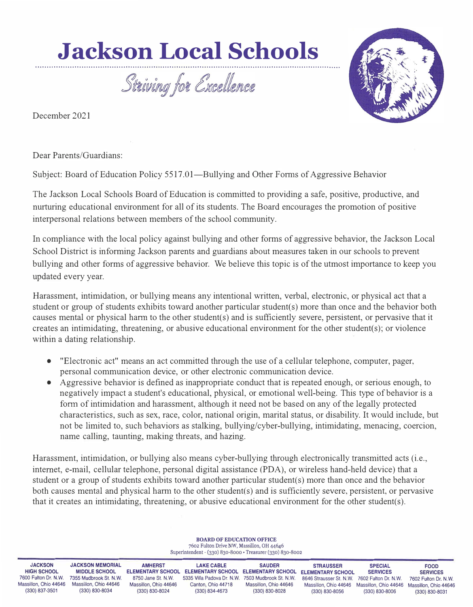## **Jackson Local Schools**

Striving for Excellence

December 2021



Dear Parents/Guardians:

··································

Subject: Board of Education Policy 5517.01—Bullying and Other Forms of Aggressive Behavior

···················· ································ ·········································

The Jackson Local Schools Board of Education is committed to providing a safe, positive, productive, and nurturing educational environment for all of its students. The Board encourages the promotion of positive interpersonal relations between members of the school community.

In compliance with the local policy against bullying and other forms of aggressive behavior, the Jackson Local School District is informing Jackson parents and guardians about measures taken in our schools to prevent bullying and other forms of aggressive behavior. We believe this topic is of the utmost importance to keep you updated every year.

Harassment, intimidation, or bullying means any intentional written, verbal, electronic, or physical act that a student or group of students exhibits toward another particular student(s) more than once and the behavior both causes mental or physical harm to the other student(s) and is sufficiently severe, persistent, or pervasive that it creates an intimidating, threatening, or abusive educational environment for the other student(s); or violence within a dating relationship.

- "Electronic act" means an act committed through the use of a cellular telephone, computer, pager, personal communication device, or other electronic communication device.
- Aggressive behavior is defined as inappropriate conduct that is repeated enough, or serious enough, to negatively impact a student's educational, physical, or emotional well-being. This type of behavior is a form of intimidation and harassment, although it need not be based on any of the legally protected characteristics, such as sex, race, color, national origin, marital status, or disability. It would include, but not be limited to, such behaviors as stalking, bullying/cyber-bullying, intimidating, menacing, coercion, name calling, taunting, making threats, and hazing.

Harassment, intimidation, or bullying also means cyber-bullying through electronically transmitted acts (i.e., internet, e-mail, cellular telephone, personal digital assistance (PDA), or wireless hand-held device) that a student or a group of students exhibits toward another pariicular student(s) more than once and the behavior both causes mental and physical harm to the other student(s) and is sufficiently severe, persistent, or pervasive that it creates an intimidating, threatening, or abusive educational environment for the other student(s).

| <b>BOARD OF EDUCATION OFFICE</b><br>7602 Fulton Drive NW, Massillon, OH 44646<br>Superintendent - (330) 830-8000 • Treasurer (330) 830-8002 |                                                                                                                      |                                                                                                             |                                                                                                                                       |                                                                                    |                                                                                                                                         |                                                                              |                                                                                                   |
|---------------------------------------------------------------------------------------------------------------------------------------------|----------------------------------------------------------------------------------------------------------------------|-------------------------------------------------------------------------------------------------------------|---------------------------------------------------------------------------------------------------------------------------------------|------------------------------------------------------------------------------------|-----------------------------------------------------------------------------------------------------------------------------------------|------------------------------------------------------------------------------|---------------------------------------------------------------------------------------------------|
| <b>JACKSON</b><br><b>HIGH SCHOOL</b><br>7600 Fulton Dr. N.W.<br>Massillon, Ohio 44646<br>(330) 837-3501                                     | <b>JACKSON MEMORIAL</b><br><b>MIDDLE SCHOOL</b><br>7355 Mudbrook St. N.W.<br>Massillon, Ohio 44646<br>(330) 830-8034 | <b>AMHERST</b><br><b>ELEMENTARY SCHOOL</b><br>8750 Jane St. N.W.<br>Massillon, Ohio 44646<br>(330) 830-8024 | <b>LAKE CABLE</b><br><b>ELEMENTARY SCHOOL ELEMENTARY SCHOOL</b><br>5335 Villa Padova Dr. N.W.<br>Canton, Ohio 44718<br>(330) 834-4673 | <b>SAUDER</b><br>7503 Mudbrook St. N.W.<br>Massillon, Ohio 44646<br>(330) 830-8028 | <b>STRAUSSER</b><br><b>ELEMENTARY SCHOOL</b><br>8646 Strausser St. N.W. 7602 Fulton Dr. N.W.<br>Massillon, Ohio 44646<br>(330) 830-8056 | <b>SPECIAL</b><br><b>SERVICES</b><br>Massillon, Ohio 44646<br>(330) 830-8006 | <b>FOOD</b><br><b>SERVICES</b><br>7602 Fulton Dr. N.W.<br>Massillon, Ohio 44646<br>(330) 830-8031 |